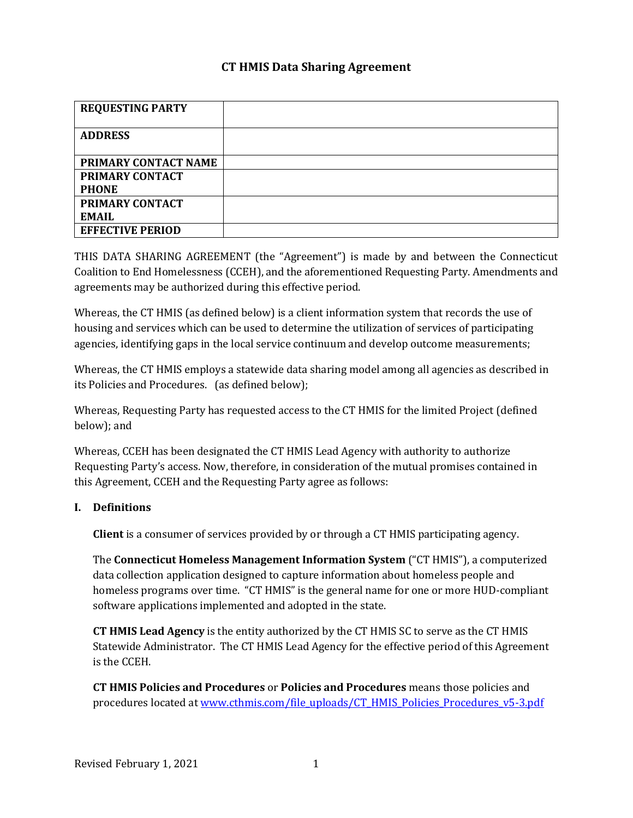# **CT HMIS Data Sharing Agreement**

| <b>REQUESTING PARTY</b> |  |
|-------------------------|--|
| <b>ADDRESS</b>          |  |
|                         |  |
| PRIMARY CONTACT NAME    |  |
| <b>PRIMARY CONTACT</b>  |  |
| <b>PHONE</b>            |  |
| PRIMARY CONTACT         |  |
| EMAIL.                  |  |
| <b>EFFECTIVE PERIOD</b> |  |

THIS DATA SHARING AGREEMENT (the "Agreement") is made by and between the Connecticut Coalition to End Homelessness (CCEH), and the aforementioned Requesting Party. Amendments and agreements may be authorized during this effective period.

Whereas, the CT HMIS (as defined below) is a client information system that records the use of housing and services which can be used to determine the utilization of services of participating agencies, identifying gaps in the local service continuum and develop outcome measurements;

Whereas, the CT HMIS employs a statewide data sharing model among all agencies as described in its Policies and Procedures. (as defined below);

Whereas, Requesting Party has requested access to the CT HMIS for the limited Project (defined below); and

Whereas, CCEH has been designated the CT HMIS Lead Agency with authority to authorize Requesting Party's access. Now, therefore, in consideration of the mutual promises contained in this Agreement, CCEH and the Requesting Party agree as follows:

#### **I. Definitions**

**Client** is a consumer of services provided by or through a CT HMIS participating agency.

The **Connecticut Homeless Management Information System** ("CT HMIS"), a computerized data collection application designed to capture information about homeless people and homeless programs over time. "CT HMIS" is the general name for one or more HUD-compliant software applications implemented and adopted in the state.

**CT HMIS Lead Agency** is the entity authorized by the CT HMIS SC to serve as the CT HMIS Statewide Administrator. The CT HMIS Lead Agency for the effective period of this Agreement is the CCEH.

**CT HMIS Policies and Procedures** or **Policies and Procedures** means those policies and procedures located at [www.cthmis.com/file\\_uploads/CT\\_HMIS\\_Policies\\_Procedures\\_v5-3.pdf](http://www.cthmis.com/file_uploads/CT_HMIS_Policies_Procedures_v5-3.pdf)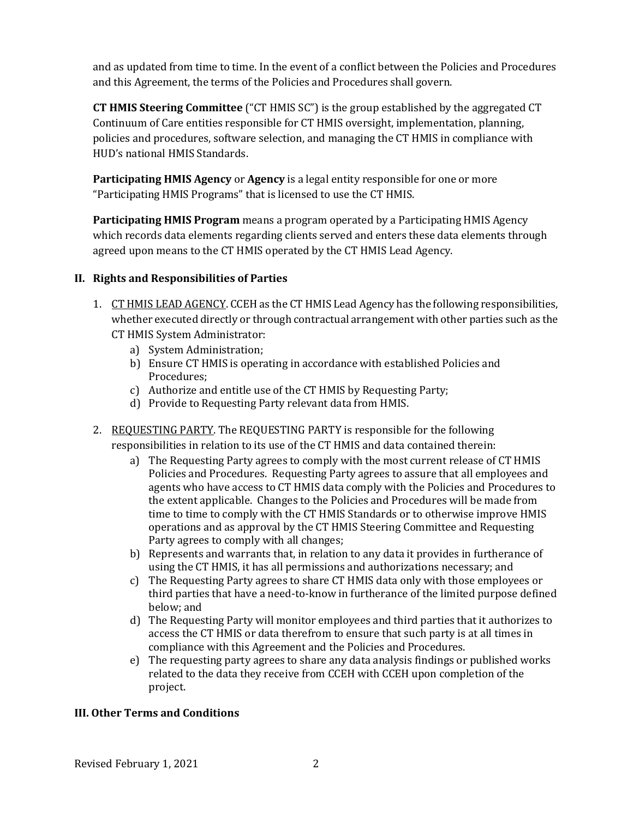and as updated from time to time. In the event of a conflict between the Policies and Procedures and this Agreement, the terms of the Policies and Procedures shall govern.

**CT HMIS Steering Committee** ("CT HMIS SC") is the group established by the aggregated CT Continuum of Care entities responsible for CT HMIS oversight, implementation, planning, policies and procedures, software selection, and managing the CT HMIS in compliance with HUD's national HMIS Standards.

**Participating HMIS Agency** or **Agency** is a legal entity responsible for one or more "Participating HMIS Programs" that is licensed to use the CT HMIS.

**Participating HMIS Program** means a program operated by a Participating HMIS Agency which records data elements regarding clients served and enters these data elements through agreed upon means to the CT HMIS operated by the CT HMIS Lead Agency.

# **II. Rights and Responsibilities of Parties**

- 1. CT HMIS LEAD AGENCY. CCEH as the CT HMIS Lead Agency has the following responsibilities, whether executed directly or through contractual arrangement with other parties such as the CT HMIS System Administrator:
	- a) System Administration;
	- b) Ensure CT HMIS is operating in accordance with established Policies and Procedures;
	- c) Authorize and entitle use of the CT HMIS by Requesting Party;
	- d) Provide to Requesting Party relevant data from HMIS.
- 2. REQUESTING PARTY. The REQUESTING PARTY is responsible for the following responsibilities in relation to its use of the CT HMIS and data contained therein:
	- a) The Requesting Party agrees to comply with the most current release of CT HMIS Policies and Procedures. Requesting Party agrees to assure that all employees and agents who have access to CT HMIS data comply with the Policies and Procedures to the extent applicable. Changes to the Policies and Procedures will be made from time to time to comply with the CT HMIS Standards or to otherwise improve HMIS operations and as approval by the CT HMIS Steering Committee and Requesting Party agrees to comply with all changes;
	- b) Represents and warrants that, in relation to any data it provides in furtherance of using the CT HMIS, it has all permissions and authorizations necessary; and
	- c) The Requesting Party agrees to share CT HMIS data only with those employees or third parties that have a need-to-know in furtherance of the limited purpose defined below; and
	- d) The Requesting Party will monitor employees and third parties that it authorizes to access the CT HMIS or data therefrom to ensure that such party is at all times in compliance with this Agreement and the Policies and Procedures.
	- e) The requesting party agrees to share any data analysis findings or published works related to the data they receive from CCEH with CCEH upon completion of the project.

# **III. Other Terms and Conditions**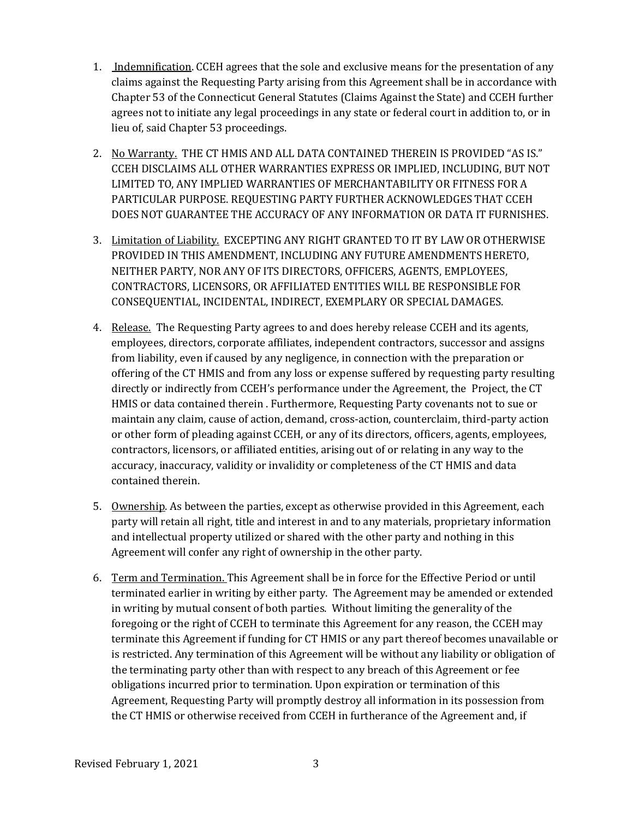- 1. Indemnification. CCEH agrees that the sole and exclusive means for the presentation of any claims against the Requesting Party arising from this Agreement shall be in accordance with Chapter 53 of the Connecticut General Statutes (Claims Against the State) and CCEH further agrees not to initiate any legal proceedings in any state or federal court in addition to, or in lieu of, said Chapter 53 proceedings.
- 2. No Warranty. THE CT HMIS AND ALL DATA CONTAINED THEREIN IS PROVIDED "AS IS." CCEH DISCLAIMS ALL OTHER WARRANTIES EXPRESS OR IMPLIED, INCLUDING, BUT NOT LIMITED TO, ANY IMPLIED WARRANTIES OF MERCHANTABILITY OR FITNESS FOR A PARTICULAR PURPOSE. REQUESTING PARTY FURTHER ACKNOWLEDGES THAT CCEH DOES NOT GUARANTEE THE ACCURACY OF ANY INFORMATION OR DATA IT FURNISHES.
- 3. Limitation of Liability. EXCEPTING ANY RIGHT GRANTED TO IT BY LAW OR OTHERWISE PROVIDED IN THIS AMENDMENT, INCLUDING ANY FUTURE AMENDMENTS HERETO, NEITHER PARTY, NOR ANY OF ITS DIRECTORS, OFFICERS, AGENTS, EMPLOYEES, CONTRACTORS, LICENSORS, OR AFFILIATED ENTITIES WILL BE RESPONSIBLE FOR CONSEQUENTIAL, INCIDENTAL, INDIRECT, EXEMPLARY OR SPECIAL DAMAGES.
- 4. Release. The Requesting Party agrees to and does hereby release CCEH and its agents, employees, directors, corporate affiliates, independent contractors, successor and assigns from liability, even if caused by any negligence, in connection with the preparation or offering of the CT HMIS and from any loss or expense suffered by requesting party resulting directly or indirectly from CCEH's performance under the Agreement, the Project, the CT HMIS or data contained therein . Furthermore, Requesting Party covenants not to sue or maintain any claim, cause of action, demand, cross-action, counterclaim, third-party action or other form of pleading against CCEH, or any of its directors, officers, agents, employees, contractors, licensors, or affiliated entities, arising out of or relating in any way to the accuracy, inaccuracy, validity or invalidity or completeness of the CT HMIS and data contained therein.
- 5. Ownership. As between the parties, except as otherwise provided in this Agreement, each party will retain all right, title and interest in and to any materials, proprietary information and intellectual property utilized or shared with the other party and nothing in this Agreement will confer any right of ownership in the other party.
- 6. Term and Termination. This Agreement shall be in force for the Effective Period or until terminated earlier in writing by either party. The Agreement may be amended or extended in writing by mutual consent of both parties. Without limiting the generality of the foregoing or the right of CCEH to terminate this Agreement for any reason, the CCEH may terminate this Agreement if funding for CT HMIS or any part thereof becomes unavailable or is restricted. Any termination of this Agreement will be without any liability or obligation of the terminating party other than with respect to any breach of this Agreement or fee obligations incurred prior to termination. Upon expiration or termination of this Agreement, Requesting Party will promptly destroy all information in its possession from the CT HMIS or otherwise received from CCEH in furtherance of the Agreement and, if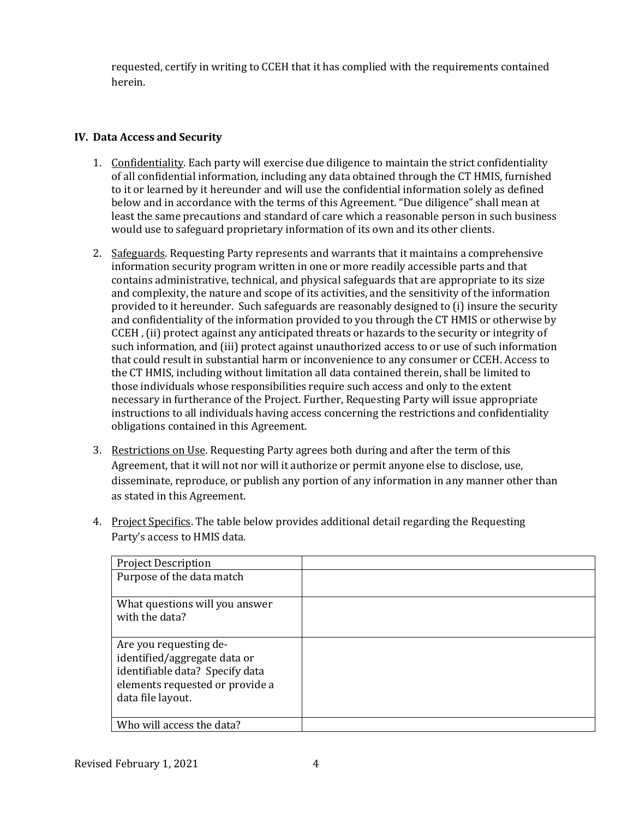requested, certify in writing to CCEH that it has complied with the requirements contained herein.

#### **IV. Data Access and Security**

- 1. Confidentiality. Each party will exercise due diligence to maintain the strict confidentiality of all confidential information, including any data obtained through the CT HMIS, furnished to it or learned by it hereunder and will use the confidential information solely as defined below and in accordance with the terms of this Agreement. "Due diligence" shall mean at least the same precautions and standard of care which a reasonable person in such business would use to safeguard proprietary information of its own and its other clients.
- 2. Safeguards. Requesting Party represents and warrants that it maintains a comprehensive information security program written in one or more readily accessible parts and that contains administrative, technical, and physical safeguards that are appropriate to its size and complexity, the nature and scope of its activities, and the sensitivity of the information provided to it hereunder. Such safeguards are reasonably designed to (i) insure the security and confidentiality of the information provided to you through the CT HMIS or otherwise by CCEH , (ii) protect against any anticipated threats or hazards to the security or integrity of such information, and (iii) protect against unauthorized access to or use of such information that could result in substantial harm or inconvenience to any consumer or CCEH. Access to the CT HMIS, including without limitation all data contained therein, shall be limited to those individuals whose responsibilities require such access and only to the extent necessary in furtherance of the Project. Further, Requesting Party will issue appropriate instructions to all individuals having access concerning the restrictions and confidentiality obligations contained in this Agreement.
- 3. Restrictions on Use. Requesting Party agrees both during and after the term of this Agreement, that it will not nor will it authorize or permit anyone else to disclose, use, disseminate, reproduce, or publish any portion of any information in any manner other than as stated in this Agreement.
- 4. Project Specifics. The table below provides additional detail regarding the Requesting Party's access to HMIS data.

| <b>Project Description</b>      |  |
|---------------------------------|--|
| Purpose of the data match       |  |
|                                 |  |
| What questions will you answer  |  |
| with the data?                  |  |
|                                 |  |
| Are you requesting de-          |  |
| identified/aggregate data or    |  |
| identifiable data? Specify data |  |
| elements requested or provide a |  |
| data file layout.               |  |
|                                 |  |
| Who will access the data?       |  |